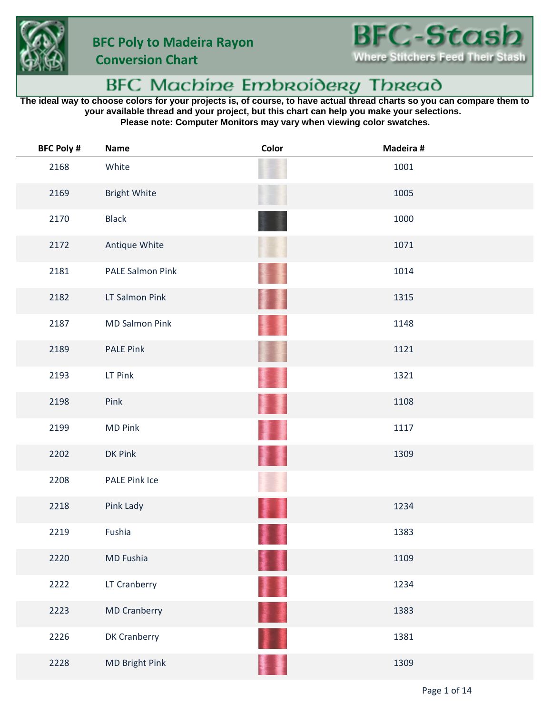



 **Conversion Chart**

## BFC Machine Embroidery Thread

**The ideal way to choose colors for your projects is, of course, to have actual thread charts so you can compare them to your available thread and your project, but this chart can help you make your selections. Please note: Computer Monitors may vary when viewing color swatches.**

| <b>BFC Poly #</b> | <b>Name</b>             | Color | Madeira # |
|-------------------|-------------------------|-------|-----------|
| 2168              | White                   |       | 1001      |
| 2169              | <b>Bright White</b>     |       | 1005      |
| 2170              | <b>Black</b>            |       | 1000      |
| 2172              | Antique White           |       | 1071      |
| 2181              | <b>PALE Salmon Pink</b> |       | 1014      |
| 2182              | LT Salmon Pink          |       | 1315      |
| 2187              | <b>MD Salmon Pink</b>   |       | 1148      |
| 2189              | <b>PALE Pink</b>        |       | 1121      |
| 2193              | LT Pink                 |       | 1321      |
| 2198              | Pink                    |       | 1108      |
| 2199              | <b>MD Pink</b>          |       | 1117      |
| 2202              | DK Pink                 |       | 1309      |
| 2208              | PALE Pink Ice           |       |           |
| 2218              | Pink Lady               |       | 1234      |
| 2219              | Fushia                  |       | 1383      |
| 2220              | MD Fushia               |       | 1109      |
| 2222              | LT Cranberry            | H H   | 1234      |
| 2223              | <b>MD Cranberry</b>     | ł     | 1383      |
| 2226              | DK Cranberry            |       | 1381      |
| 2228              | MD Bright Pink          |       | 1309      |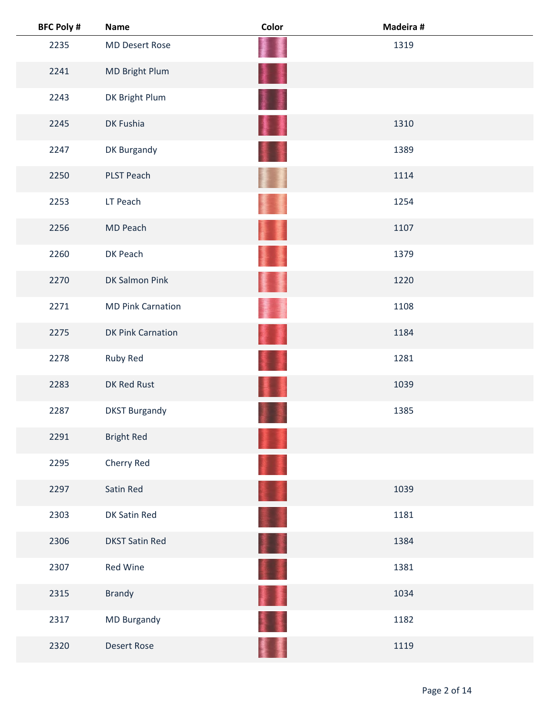| <b>BFC Poly #</b> | <b>Name</b>              | Color     | Madeira # |  |
|-------------------|--------------------------|-----------|-----------|--|
| 2235              | <b>MD Desert Rose</b>    |           | 1319      |  |
| 2241              | MD Bright Plum           | łł        |           |  |
| 2243              | DK Bright Plum           | <b>高原</b> |           |  |
| 2245              | DK Fushia                | ł         | 1310      |  |
| 2247              | DK Burgandy              |           | 1389      |  |
| 2250              | <b>PLST Peach</b>        |           | 1114      |  |
| 2253              | LT Peach                 |           | 1254      |  |
| 2256              | MD Peach                 |           | 1107      |  |
| 2260              | DK Peach                 |           | 1379      |  |
| 2270              | <b>DK Salmon Pink</b>    |           | 1220      |  |
| 2271              | <b>MD Pink Carnation</b> |           | 1108      |  |
| 2275              | DK Pink Carnation        | 薓         | 1184      |  |
| 2278              | Ruby Red                 |           | 1281      |  |
| 2283              | DK Red Rust              |           | 1039      |  |
| 2287              | <b>DKST Burgandy</b>     |           | 1385      |  |
| 2291              | <b>Bright Red</b>        |           |           |  |
| 2295              | Cherry Red               |           |           |  |
| 2297              | Satin Red                |           | 1039      |  |
| 2303              | DK Satin Red             |           | 1181      |  |
| 2306              | <b>DKST Satin Red</b>    | H         | 1384      |  |
| 2307              | Red Wine                 | ŧ,        | 1381      |  |
| 2315              | <b>Brandy</b>            | T         | 1034      |  |
| 2317              | MD Burgandy              |           | 1182      |  |
| 2320              | <b>Desert Rose</b>       |           | 1119      |  |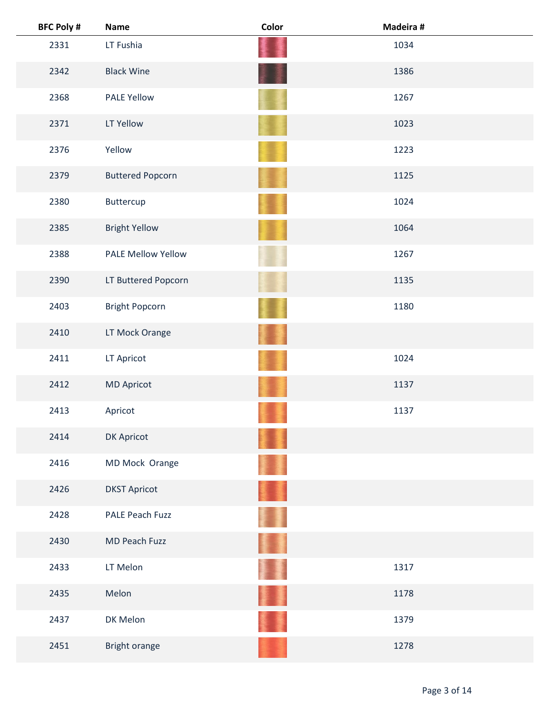| <b>BFC Poly #</b> | <b>Name</b>               | Color    | Madeira # |  |
|-------------------|---------------------------|----------|-----------|--|
| 2331              | LT Fushia                 |          | 1034      |  |
| 2342              | <b>Black Wine</b>         |          | 1386      |  |
| 2368              | <b>PALE Yellow</b>        |          | 1267      |  |
| 2371              | LT Yellow                 |          | 1023      |  |
| 2376              | Yellow                    |          | 1223      |  |
| 2379              | <b>Buttered Popcorn</b>   |          | 1125      |  |
| 2380              | Buttercup                 |          | 1024      |  |
| 2385              | <b>Bright Yellow</b>      |          | 1064      |  |
| 2388              | <b>PALE Mellow Yellow</b> |          | 1267      |  |
| 2390              | LT Buttered Popcorn       |          | 1135      |  |
| 2403              | <b>Bright Popcorn</b>     |          | 1180      |  |
| 2410              | LT Mock Orange            |          |           |  |
| 2411              | LT Apricot                |          | 1024      |  |
| 2412              | <b>MD Apricot</b>         |          | 1137      |  |
| 2413              | Apricot                   |          | 1137      |  |
| 2414              | DK Apricot                |          |           |  |
| 2416              | MD Mock Orange            |          |           |  |
| 2426              | <b>DKST Apricot</b>       |          |           |  |
| 2428              | <b>PALE Peach Fuzz</b>    |          |           |  |
| 2430              | MD Peach Fuzz             | <b>A</b> |           |  |
| 2433              | LT Melon                  |          | 1317      |  |
| 2435              | Melon                     |          | 1178      |  |
| 2437              | DK Melon                  |          | 1379      |  |
| 2451              | Bright orange             |          | 1278      |  |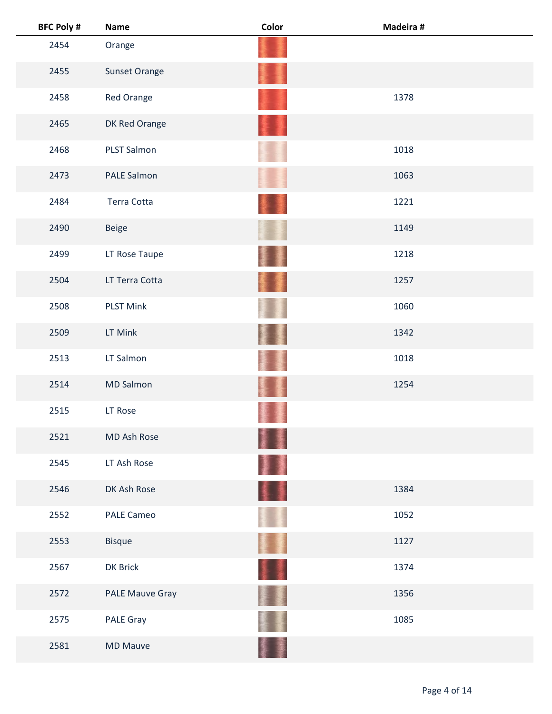| <b>BFC Poly #</b> | <b>Name</b>        | Color | Madeira # |  |
|-------------------|--------------------|-------|-----------|--|
| 2454              | Orange             |       |           |  |
| 2455              | Sunset Orange      |       |           |  |
| 2458              | Red Orange         |       | 1378      |  |
| 2465              | DK Red Orange      |       |           |  |
| 2468              | <b>PLST Salmon</b> |       | 1018      |  |
| 2473              | PALE Salmon        |       | 1063      |  |
| 2484              | Terra Cotta        |       | 1221      |  |
| 2490              | <b>Beige</b>       |       | 1149      |  |
| 2499              | LT Rose Taupe      |       | 1218      |  |
| 2504              | LT Terra Cotta     | 螷     | 1257      |  |
| 2508              | <b>PLST Mink</b>   |       | 1060      |  |
| 2509              | LT Mink            |       | 1342      |  |
| 2513              | LT Salmon          |       | 1018      |  |
| 2514              | <b>MD Salmon</b>   |       | 1254      |  |
| 2515              | LT Rose            |       |           |  |
| 2521              | MD Ash Rose        | ł     |           |  |
| 2545              | LT Ash Rose        | 蓬     |           |  |
| 2546              | DK Ash Rose        | 4 I   | 1384      |  |
| 2552              | PALE Cameo         |       | 1052      |  |
| 2553              | <b>Bisque</b>      | H     | 1127      |  |
| 2567              | DK Brick           | H     | 1374      |  |
| 2572              | PALE Mauve Gray    |       | 1356      |  |
| 2575              | <b>PALE Gray</b>   |       | 1085      |  |
| 2581              | <b>MD Mauve</b>    |       |           |  |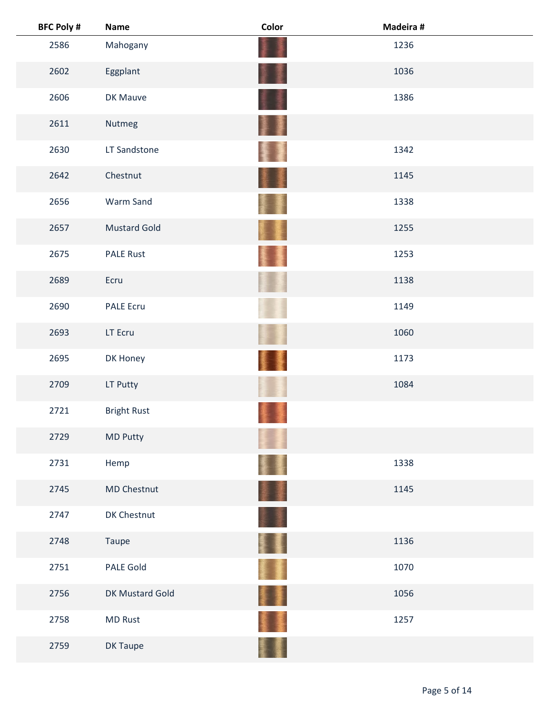| <b>BFC Poly #</b> | <b>Name</b>         | Color                    | Madeira # |
|-------------------|---------------------|--------------------------|-----------|
| 2586              | Mahogany            |                          | 1236      |
| 2602              | Eggplant            |                          | 1036      |
| 2606              | DK Mauve            |                          | 1386      |
| 2611              | Nutmeg              | I<br><b>Participants</b> |           |
| 2630              | LT Sandstone        |                          | 1342      |
| 2642              | Chestnut            |                          | 1145      |
| 2656              | Warm Sand           |                          | 1338      |
| 2657              | <b>Mustard Gold</b> |                          | 1255      |
| 2675              | <b>PALE Rust</b>    |                          | 1253      |
| 2689              | Ecru                |                          | 1138      |
| 2690              | PALE Ecru           |                          | 1149      |
| 2693              | LT Ecru             |                          | 1060      |
| 2695              | DK Honey            |                          | 1173      |
| 2709              | LT Putty            |                          | 1084      |
| 2721              | <b>Bright Rust</b>  |                          |           |
| 2729              | MD Putty            |                          |           |
| 2731              | Hemp                |                          | 1338      |
| 2745              | MD Chestnut         | 葦澤                       | 1145      |
| 2747              | DK Chestnut         |                          |           |
| 2748              | Taupe               | E I                      | 1136      |
| 2751              | <b>PALE Gold</b>    | ∎                        | 1070      |
| 2756              | DK Mustard Gold     | 藳                        | 1056      |
| 2758              | <b>MD Rust</b>      |                          | 1257      |
| 2759              | DK Taupe            |                          |           |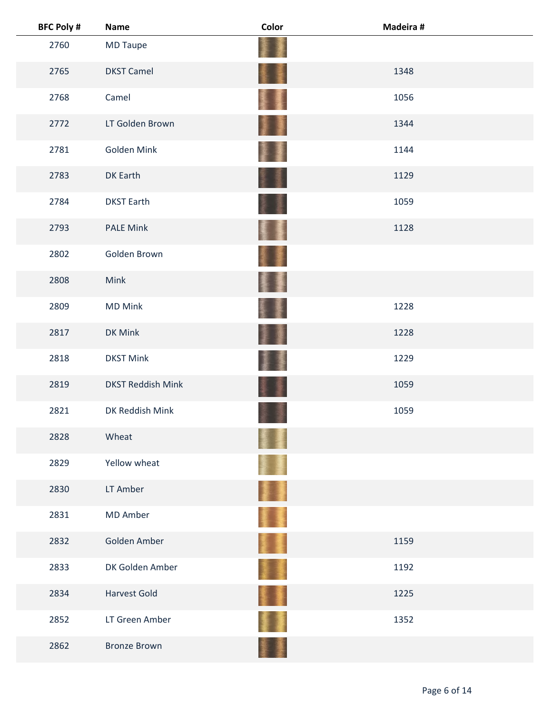| <b>BFC Poly #</b> | Name                     | Color | Madeira # |  |
|-------------------|--------------------------|-------|-----------|--|
| 2760              | <b>MD Taupe</b>          |       |           |  |
| 2765              | <b>DKST Camel</b>        | ŧ     | 1348      |  |
| 2768              | Camel                    |       | 1056      |  |
| 2772              | LT Golden Brown          | H     | 1344      |  |
| 2781              | Golden Mink              |       | 1144      |  |
| 2783              | DK Earth                 |       | 1129      |  |
| 2784              | <b>DKST Earth</b>        |       | 1059      |  |
| 2793              | <b>PALE Mink</b>         |       | 1128      |  |
| 2802              | Golden Brown             |       |           |  |
| 2808              | Mink                     | 墨     |           |  |
| 2809              | <b>MD Mink</b>           |       | 1228      |  |
| 2817              | DK Mink                  |       | 1228      |  |
| 2818              | <b>DKST Mink</b>         |       | 1229      |  |
| 2819              | <b>DKST Reddish Mink</b> |       | 1059      |  |
| 2821              | DK Reddish Mink          |       | 1059      |  |
| 2828              | Wheat                    |       |           |  |
| 2829              | Yellow wheat             |       |           |  |
| 2830              | LT Amber                 | 啛     |           |  |
| 2831              | MD Amber                 |       |           |  |
| 2832              | Golden Amber             | II.   | 1159      |  |
| 2833              | DK Golden Amber          |       | 1192      |  |
| 2834              | <b>Harvest Gold</b>      | 堻     | 1225      |  |
| 2852              | LT Green Amber           |       | 1352      |  |
| 2862              | <b>Bronze Brown</b>      |       |           |  |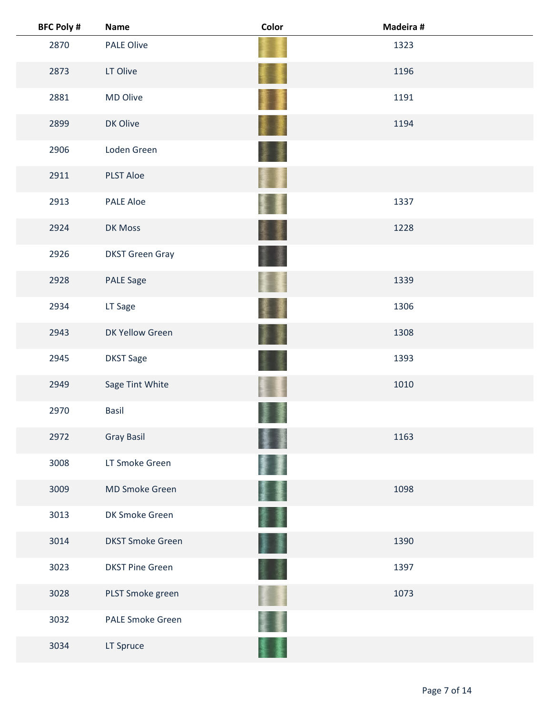| <b>BFC Poly #</b> | <b>Name</b>             | Color           | Madeira # |
|-------------------|-------------------------|-----------------|-----------|
| 2870              | <b>PALE Olive</b>       |                 | 1323      |
| 2873              | LT Olive                |                 | 1196      |
| 2881              | MD Olive                |                 | 1191      |
| 2899              | DK Olive                |                 | 1194      |
| 2906              | Loden Green             |                 |           |
| 2911              | <b>PLST Aloe</b>        |                 |           |
| 2913              | <b>PALE Aloe</b>        |                 | 1337      |
| 2924              | DK Moss                 |                 | 1228      |
| 2926              | <b>DKST Green Gray</b>  |                 |           |
| 2928              | <b>PALE Sage</b>        |                 | 1339      |
| 2934              | LT Sage                 |                 | 1306      |
| 2943              | DK Yellow Green         |                 | 1308      |
| 2945              | <b>DKST Sage</b>        |                 | 1393      |
| 2949              | Sage Tint White         |                 | 1010      |
| 2970              | <b>Basil</b>            |                 |           |
| 2972              | <b>Gray Basil</b>       |                 | 1163      |
| 3008              | LT Smoke Green          |                 |           |
| 3009              | <b>MD Smoke Green</b>   |                 | 1098      |
| 3013              | DK Smoke Green          |                 |           |
| 3014              | <b>DKST Smoke Green</b> | <b>See</b><br>廑 | 1390      |
| 3023              | <b>DKST Pine Green</b>  |                 | 1397      |
| 3028              | PLST Smoke green        |                 | 1073      |
| 3032              | <b>PALE Smoke Green</b> |                 |           |
| 3034              | LT Spruce               |                 |           |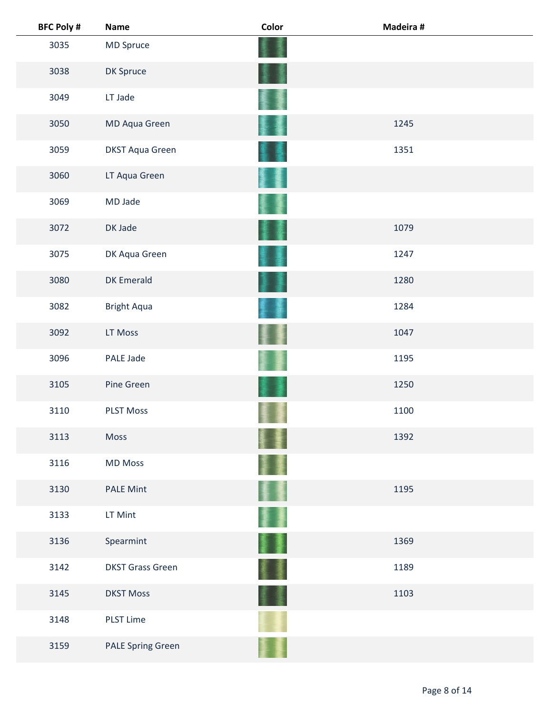| <b>BFC Poly #</b> | <b>Name</b>              | Color  | Madeira # |
|-------------------|--------------------------|--------|-----------|
| 3035              | MD Spruce                |        |           |
| 3038              | DK Spruce                |        |           |
| 3049              | LT Jade                  |        |           |
| 3050              | MD Aqua Green            |        | 1245      |
| 3059              | <b>DKST Aqua Green</b>   |        | 1351      |
| 3060              | LT Aqua Green            |        |           |
| 3069              | MD Jade                  |        |           |
| 3072              | DK Jade                  | 屢      | 1079      |
| 3075              | DK Aqua Green            |        | 1247      |
| 3080              | <b>DK Emerald</b>        |        | 1280      |
| 3082              | <b>Bright Aqua</b>       |        | 1284      |
| 3092              | LT Moss                  |        | 1047      |
| 3096              | PALE Jade                |        | 1195      |
| 3105              | Pine Green               |        | 1250      |
| 3110              | <b>PLST Moss</b>         |        | 1100      |
| 3113              | Moss                     |        | 1392      |
| 3116              | <b>MD Moss</b>           |        |           |
| 3130              | <b>PALE Mint</b>         | ŧŧ     | 1195      |
| 3133              | LT Mint                  |        |           |
| 3136              | Spearmint                | 屢<br>ţ | 1369      |
| 3142              | <b>DKST Grass Green</b>  |        | 1189      |
| 3145              | <b>DKST Moss</b>         |        | 1103      |
| 3148              | <b>PLST Lime</b>         |        |           |
| 3159              | <b>PALE Spring Green</b> |        |           |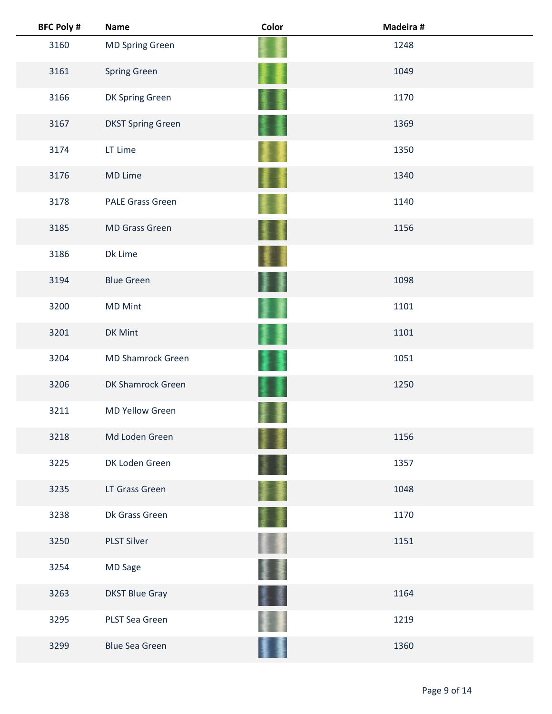| <b>BFC Poly #</b> | <b>Name</b>              | Color | Madeira # |
|-------------------|--------------------------|-------|-----------|
| 3160              | <b>MD Spring Green</b>   |       | 1248      |
| 3161              | <b>Spring Green</b>      |       | 1049      |
| 3166              | DK Spring Green          |       | 1170      |
| 3167              | <b>DKST Spring Green</b> |       | 1369      |
| 3174              | LT Lime                  |       | 1350      |
| 3176              | MD Lime                  |       | 1340      |
| 3178              | <b>PALE Grass Green</b>  |       | 1140      |
| 3185              | <b>MD Grass Green</b>    |       | 1156      |
| 3186              | Dk Lime                  |       |           |
| 3194              | <b>Blue Green</b>        |       | 1098      |
| 3200              | <b>MD Mint</b>           |       | 1101      |
| 3201              | DK Mint                  |       | 1101      |
| 3204              | <b>MD Shamrock Green</b> |       | 1051      |
| 3206              | DK Shamrock Green        |       | 1250      |
| 3211              | <b>MD Yellow Green</b>   |       |           |
| 3218              | Md Loden Green           |       | 1156      |
| 3225              | DK Loden Green           |       | 1357      |
| 3235              | LT Grass Green           |       | 1048      |
| 3238              | Dk Grass Green           |       | 1170      |
| 3250              | <b>PLST Silver</b>       |       | 1151      |
| 3254              | MD Sage                  |       |           |
| 3263              | <b>DKST Blue Gray</b>    |       | 1164      |
| 3295              | PLST Sea Green           |       | 1219      |
| 3299              | <b>Blue Sea Green</b>    |       | 1360      |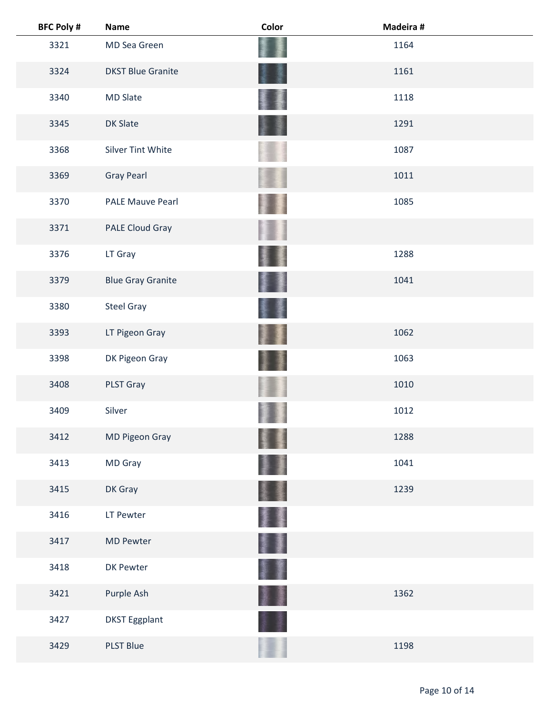| <b>BFC Poly #</b> | <b>Name</b>              | Color | Madeira # |  |
|-------------------|--------------------------|-------|-----------|--|
| 3321              | MD Sea Green             |       | 1164      |  |
| 3324              | <b>DKST Blue Granite</b> |       | 1161      |  |
| 3340              | <b>MD Slate</b>          |       | 1118      |  |
| 3345              | DK Slate                 |       | 1291      |  |
| 3368              | <b>Silver Tint White</b> |       | 1087      |  |
| 3369              | <b>Gray Pearl</b>        |       | 1011      |  |
| 3370              | <b>PALE Mauve Pearl</b>  |       | 1085      |  |
| 3371              | PALE Cloud Gray          |       |           |  |
| 3376              | LT Gray                  |       | 1288      |  |
| 3379              | <b>Blue Gray Granite</b> |       | 1041      |  |
| 3380              | <b>Steel Gray</b>        |       |           |  |
| 3393              | LT Pigeon Gray           |       | 1062      |  |
| 3398              | DK Pigeon Gray           |       | 1063      |  |
| 3408              | PLST Gray                |       | 1010      |  |
| 3409              | Silver                   |       | 1012      |  |
| 3412              | MD Pigeon Gray           |       | 1288      |  |
| 3413              | MD Gray                  |       | 1041      |  |
| 3415              | DK Gray                  |       | 1239      |  |
| 3416              | LT Pewter                |       |           |  |
| 3417              | <b>MD Pewter</b>         | I     |           |  |
| 3418              | DK Pewter                |       |           |  |
| 3421              | Purple Ash               |       | 1362      |  |
| 3427              | <b>DKST Eggplant</b>     |       |           |  |
| 3429              | <b>PLST Blue</b>         |       | 1198      |  |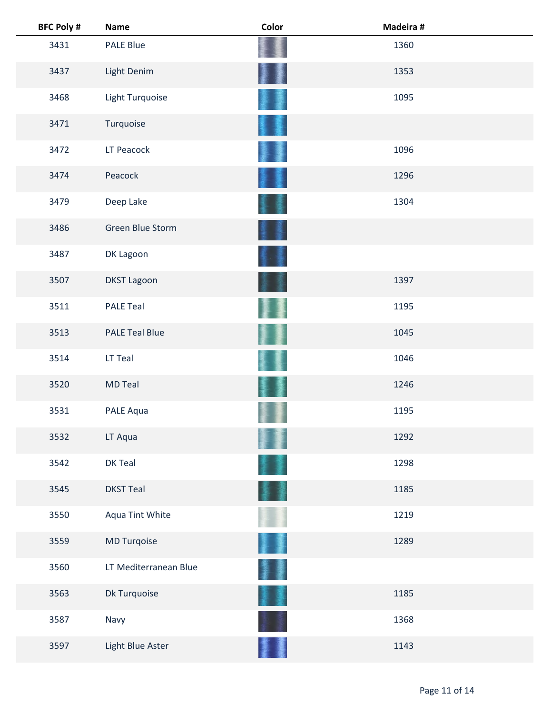| <b>BFC Poly #</b> | <b>Name</b>           | Color | Madeira # |
|-------------------|-----------------------|-------|-----------|
| 3431              | <b>PALE Blue</b>      |       | 1360      |
| 3437              | Light Denim           |       | 1353      |
| 3468              | Light Turquoise       |       | 1095      |
| 3471              | Turquoise             |       |           |
| 3472              | LT Peacock            |       | 1096      |
| 3474              | Peacock               |       | 1296      |
| 3479              | Deep Lake             |       | 1304      |
| 3486              | Green Blue Storm      |       |           |
| 3487              | DK Lagoon             |       |           |
| 3507              | <b>DKST Lagoon</b>    |       | 1397      |
| 3511              | <b>PALE Teal</b>      |       | 1195      |
| 3513              | <b>PALE Teal Blue</b> |       | 1045      |
| 3514              | LT Teal               |       | 1046      |
| 3520              | <b>MD Teal</b>        |       | 1246      |
| 3531              | PALE Aqua             |       | 1195      |
| 3532              | LT Aqua               |       | 1292      |
| 3542              | DK Teal               |       | 1298      |
| 3545              | <b>DKST Teal</b>      |       | 1185      |
| 3550              | Aqua Tint White       |       | 1219      |
| 3559              | MD Turqoise           |       | 1289      |
| 3560              | LT Mediterranean Blue |       |           |
| 3563              | Dk Turquoise          |       | 1185      |
| 3587              | Navy                  |       | 1368      |
| 3597              | Light Blue Aster      |       | 1143      |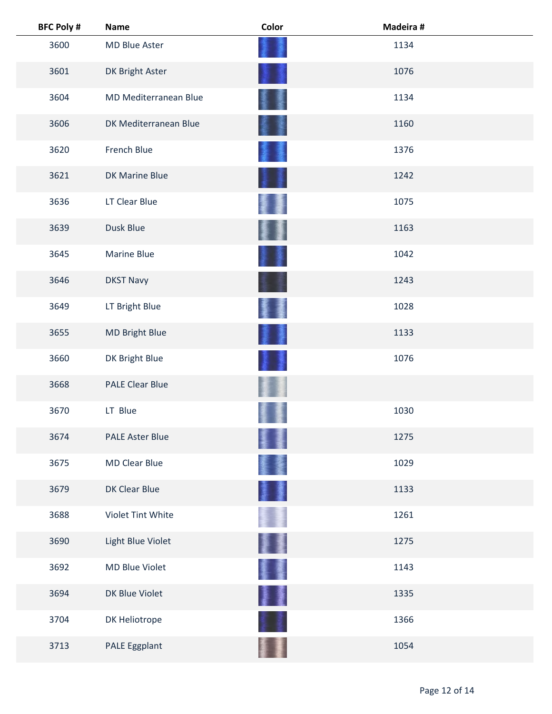| <b>BFC Poly #</b> | <b>Name</b>            | Color | Madeira # |  |
|-------------------|------------------------|-------|-----------|--|
| 3600              | MD Blue Aster          |       | 1134      |  |
| 3601              | DK Bright Aster        |       | 1076      |  |
| 3604              | MD Mediterranean Blue  |       | 1134      |  |
| 3606              | DK Mediterranean Blue  |       | 1160      |  |
| 3620              | French Blue            |       | 1376      |  |
| 3621              | DK Marine Blue         |       | 1242      |  |
| 3636              | LT Clear Blue          |       | 1075      |  |
| 3639              | Dusk Blue              |       | 1163      |  |
| 3645              | <b>Marine Blue</b>     |       | 1042      |  |
| 3646              | <b>DKST Navy</b>       |       | 1243      |  |
| 3649              | LT Bright Blue         |       | 1028      |  |
| 3655              | MD Bright Blue         |       | 1133      |  |
| 3660              | DK Bright Blue         |       | 1076      |  |
| 3668              | <b>PALE Clear Blue</b> |       |           |  |
| 3670              | LT Blue                |       | 1030      |  |
| 3674              | <b>PALE Aster Blue</b> |       | 1275      |  |
| 3675              | <b>MD Clear Blue</b>   |       | 1029      |  |
| 3679              | DK Clear Blue          |       | 1133      |  |
| 3688              | Violet Tint White      |       | 1261      |  |
| 3690              | Light Blue Violet      | 星     | 1275      |  |
| 3692              | MD Blue Violet         | 蹇     | 1143      |  |
| 3694              | DK Blue Violet         | ł     | 1335      |  |
| 3704              | DK Heliotrope          |       | 1366      |  |
| 3713              | PALE Eggplant          |       | 1054      |  |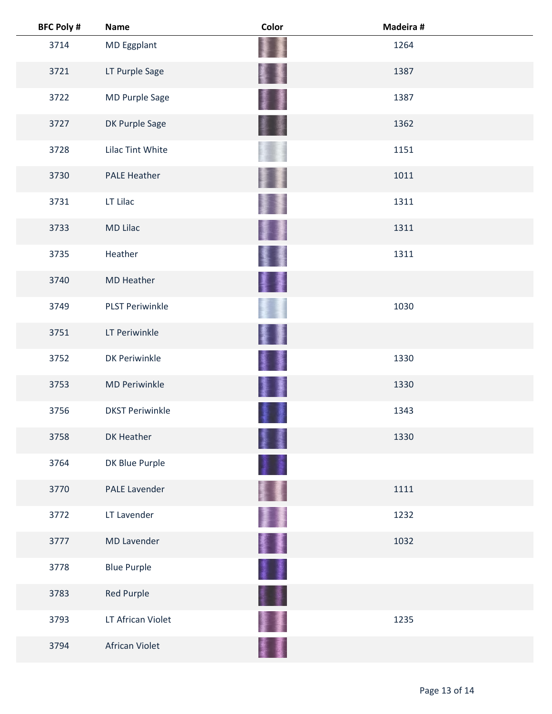| <b>BFC Poly #</b> | <b>Name</b>            | Color | Madeira # |  |
|-------------------|------------------------|-------|-----------|--|
| 3714              | MD Eggplant            |       | 1264      |  |
| 3721              | LT Purple Sage         |       | 1387      |  |
| 3722              | MD Purple Sage         | 蓬     | 1387      |  |
| 3727              | DK Purple Sage         |       | 1362      |  |
| 3728              | Lilac Tint White       |       | 1151      |  |
| 3730              | <b>PALE Heather</b>    |       | 1011      |  |
| 3731              | LT Lilac               |       | 1311      |  |
| 3733              | <b>MD Lilac</b>        |       | 1311      |  |
| 3735              | Heather                |       | 1311      |  |
| 3740              | <b>MD Heather</b>      | 璗     |           |  |
| 3749              | <b>PLST Periwinkle</b> |       | 1030      |  |
| 3751              | LT Periwinkle          |       |           |  |
| 3752              | <b>DK Periwinkle</b>   |       | 1330      |  |
| 3753              | <b>MD Periwinkle</b>   |       | 1330      |  |
| 3756              | <b>DKST Periwinkle</b> |       | 1343      |  |
| 3758              | DK Heather             |       | 1330      |  |
| 3764              | DK Blue Purple         |       |           |  |
| 3770              | <b>PALE Lavender</b>   |       | 1111      |  |
| 3772              | LT Lavender            |       | 1232      |  |
| 3777              | <b>MD Lavender</b>     | 활돌    | 1032      |  |
| 3778              | <b>Blue Purple</b>     | I     |           |  |
| 3783              | Red Purple             | ÷     |           |  |
| 3793              | LT African Violet      |       | 1235      |  |
| 3794              | African Violet         |       |           |  |